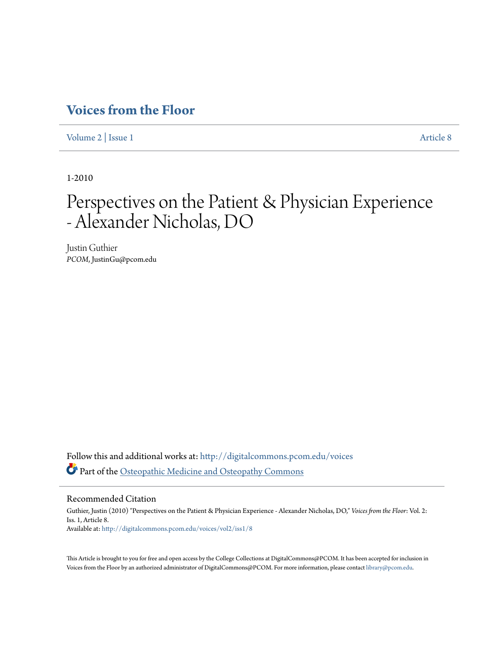## **[Voices from the Floor](http://digitalcommons.pcom.edu/voices?utm_source=digitalcommons.pcom.edu%2Fvoices%2Fvol2%2Fiss1%2F8&utm_medium=PDF&utm_campaign=PDFCoverPages)**

[Volume 2](http://digitalcommons.pcom.edu/voices/vol2?utm_source=digitalcommons.pcom.edu%2Fvoices%2Fvol2%2Fiss1%2F8&utm_medium=PDF&utm_campaign=PDFCoverPages) | [Issue 1](http://digitalcommons.pcom.edu/voices/vol2/iss1?utm_source=digitalcommons.pcom.edu%2Fvoices%2Fvol2%2Fiss1%2F8&utm_medium=PDF&utm_campaign=PDFCoverPages) [Article 8](http://digitalcommons.pcom.edu/voices/vol2/iss1/8?utm_source=digitalcommons.pcom.edu%2Fvoices%2Fvol2%2Fiss1%2F8&utm_medium=PDF&utm_campaign=PDFCoverPages)

1-2010

# Perspectives on the Patient & Physician Experience - Alexander Nicholas, DO

Justin Guthier *PCOM*, JustinGu@pcom.edu

Follow this and additional works at: [http://digitalcommons.pcom.edu/voices](http://digitalcommons.pcom.edu/voices?utm_source=digitalcommons.pcom.edu%2Fvoices%2Fvol2%2Fiss1%2F8&utm_medium=PDF&utm_campaign=PDFCoverPages) Part of the [Osteopathic Medicine and Osteopathy Commons](http://network.bepress.com/hgg/discipline/697?utm_source=digitalcommons.pcom.edu%2Fvoices%2Fvol2%2Fiss1%2F8&utm_medium=PDF&utm_campaign=PDFCoverPages)

#### Recommended Citation

Guthier, Justin (2010) "Perspectives on the Patient & Physician Experience - Alexander Nicholas, DO," *Voices from the Floor*: Vol. 2: Iss. 1, Article 8. Available at: [http://digitalcommons.pcom.edu/voices/vol2/iss1/8](http://digitalcommons.pcom.edu/voices/vol2/iss1/8?utm_source=digitalcommons.pcom.edu%2Fvoices%2Fvol2%2Fiss1%2F8&utm_medium=PDF&utm_campaign=PDFCoverPages)

This Article is brought to you for free and open access by the College Collections at DigitalCommons@PCOM. It has been accepted for inclusion in Voices from the Floor by an authorized administrator of DigitalCommons@PCOM. For more information, please contact [library@pcom.edu](mailto:library@pcom.edu).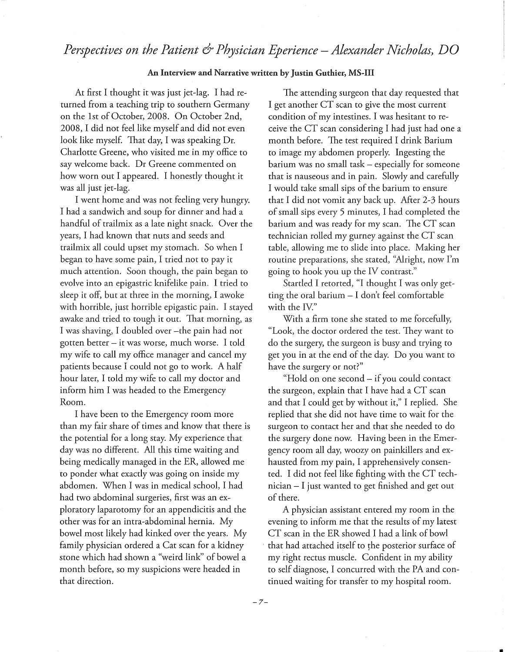### *Perspectives on the Patient & Physician Eperience- Alexander Nicholas) DO*

#### An Interview and Narrative written by Justin Guthier, MS-III

At first I thought it was just jet-lag. I had returned from a teaching trip to southern Germany on the 1st of October, 2008. On October 2nd, 2008, I did not feel like myself and did not even look like myself. That day, I was speaking Dr. Charlotte Greene, who visited me in my office to say welcome back. Dr Greene commented on how worn out I appeared. I honestly thought it was all just jet-lag.

I went home and was not feeling very hungry. I had a sandwich and soup for dinner and had a handful of trailmix as a late night snack. Over the years, I had known that nuts and seeds and trailmix all could upset my stomach. So when I began to have some pain, I tried not to pay it much attention. Soon though, the pain began to evolve into an epigastric knifelike pain. I tried to sleep it off, but at three in the morning, I awoke with horrible, just horrible epigastic pain. I stayed awake and tried to tough it out. That morning, as I was shaving, I doubled over -the pain had not gotten better - it was worse, much worse. I told my wife to call my office manager and cancel my patients because I could not go to work. A half hour later, I told my wife to call my doctor and inform him I was headed to the Emergency Room.

I have been to the Emergency room more than my fair share of times and know that there is the potential for a long stay. My experience that day was no different. All this time waiting and being medically managed in the ER, allowed me to ponder what exactly was going on inside my abdomen. When I was in medical school, I had had two abdominal surgeries, first was an exploratory laparotomy for an appendicitis and the other was for an intra-abdominal hernia. My bowel most likely had kinked over the years. My family physician ordered a Cat scan for a kidney stone which had shown a "weird link" of bowel a month before, so my suspicions were headed in that direction.

The attending surgeon that day requested that I get another CT scan to give the most current condition of my intestines. I was hesitant to receive the CT scan considering I had just had one a month before. The test required I drink Barium to image my abdomen properly. Ingesting the barium was no small task – especially for someone that is nauseous and in pain. Slowly and carefully I would take small sips of the barium to ensure that I did not vomit any back up. After 2-3 hours of small sips every 5 minutes, I had completed the barium and was ready for my scan. The CT scan technician rolled my gurney against the CT scan table, allowing me to slide into place. Making her routine preparations, she stated, "Alright, now I'm going to hook you up the IV contrast."

Startled I retorted, "I thought I was only getting the oral barium  $-$  I don't feel comfortable with the IV."

With a firm tone she stated to me forcefully, "Look, the doctor ordered the test. They want to do the surgery, the surgeon is busy and trying to get you in at the end of the day. Do you want to have the surgery or not?"

"Hold on one second - if you could contact the surgeon, explain that I have had a CT scan and that I could get by without it," I replied. She replied that she did not have time to wait for the surgeon to contact her and that she needed to do the surgery done now. Having been in the Emergency room all day, woozy on painkillers and exhausted from my pain, I apprehensively consented. I did not feel like fighting with the CT technician- I just wanted to get finished and get out of there.

A physician assistant entered my room in the evening to inform me that the results of my latest CT scan in the ER showed I had a link of bowl that had attached itself to the posterior surface of my right rectus muscle. Confident in my ability to self diagnose, I concurred with the PA and continued waiting for transfer to my hospital room.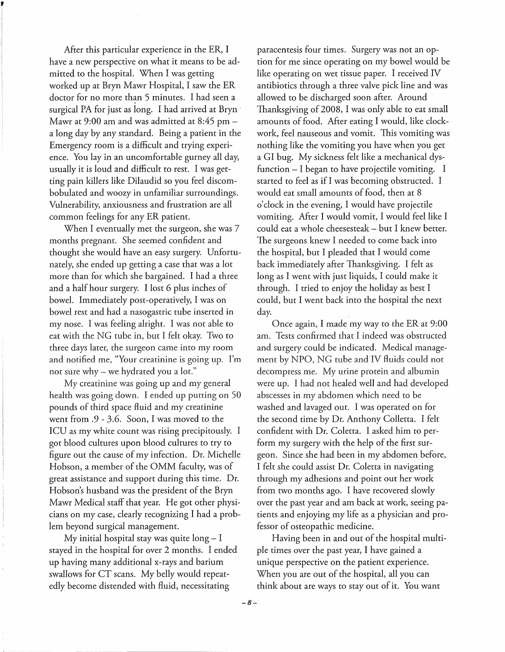After this particular experience in the ER, I have a new perspective on what it means to be admitted to the hospital. When I was getting worked up at Bryn Mawr Hospital, I saw the ER doctor for no more than 5 minutes. I had seen a surgical PA for just as long. I had arrived at Bryn · Mawr at 9:00 am and was admitted at 8:45 pma long day by any standard. Being a patient in the Emergency room is a difficult and trying experience. You lay in an uncomfortable gurney all day, usually it is loud and difficult to rest. I was getting pain killers like Dilaudid so you feel discombobulated and woozy in unfamiliar surroundings. Vulnerability, anxiousness and frustration are all common feelings for any ER patient.

When I eventually met the surgeon, she was 7 months pregnant. She seemed confident and thought she would have an easy surgery. Unfortunately, she ended up getting a case that was a lot more than for which she bargained. I had a three and a half hour surgery. I lost 6 plus inches of bowel. Immediately post-operatively, I was on bowel rest and had a nasogastric tube inserted in my nose. I was feeling alright. I was not able to eat with the NG tube in, but I felt okay. Two to three days later, the surgeon came into my room and notified me, "Your creatinine is going up. I'm not sure why- we hydrated you a lot."

My creatinine was going up and my general health was going down. I ended up putting on 50 pounds of third space fluid and my creatinine went from .9 - 3.6. Soon, I was moved to the ICU as my white count was rising precipitously. I got blood cultures upon blood cultures to try to figure out the cause of my infection. Dr. Michelle Hobson, a member of the OMM faculty, was of great assistance and support during this time. Dr. Hobson's husband was the president of the Bryn Mawr Medical staff that year. He got other physicians on my case, clearly recognizing I had a problem beyond surgical management.

My initial hospital stay was quite  $\log - I$ stayed in the hospital for over 2 months. I ended up having many additional x-rays and barium swallows for CT scans. My belly would repeatedly become distended with fluid, necessitating

paracentesis four times. Surgery was not an option for me since operating on my bowel would be like operating on wet tissue paper. I received IV antibiotics through a three valve pick line and was allowed to be discharged soon after. Around Thanksgiving of 2008, I was only able to eat small amounts of food. After eating I would, like clockwork, feel nauseous and vomit. This vomiting was nothing like the vomiting you have when you get a GI bug. My sickness felt like a mechanical dysfunction- I began to have projectile vomiting. I started to feel as if I was becoming obstructed. I would eat small amounts of food, then at 8 o'clock in the evening, I would have projectile vomiting. After I would vomit, I would feel like I could eat a whole cheesesteak- but I knew better. The surgeons knew I needed to come back into the hospital, but I pleaded that I would come back immediately after Thanksgiving. I felt as long as I went with just liquids, I could make it through. I tried to enjoy the holiday as best I could, but I went back into the hospital the next day.

Once again, I made my way to the ER at 9:00 am. Tests confirmed that I indeed was obstructed and surgery could be indicated. Medical management by NPO, NG tube and IV fluids could not decompress me. My urine protein and albumin were up. I had not healed well and had developed abscesses in my abdomen which need to be washed and lavaged out. I was operated on for the second time by Dr. Anthony Colletta. I felt confident with Dr. Coletta. I asked him to perform my surgery with the help of the first surgeon. Since she had been in my abdomen before, I felt she could assist Dr. Coletta in navigating through my adhesions and point out her work from two months ago. I have recovered slowly over the past year and am back at work, seeing patients and enjoying my life as a physician and professor of osteopathic medicine.

Having been in and out of the hospital multiple times over the past year, I have gained a unique perspective on the patient experience. When you are out of the hospital, all you can think about are ways to stay out of it. You want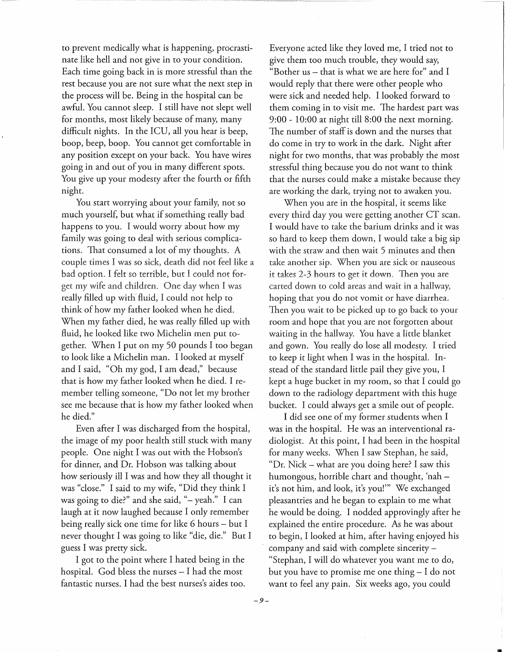to prevent medically what is happening, procrastinate. like hell and not give in to your condition. Each time going back in is more stressful than the rest because you are not sure what the next step in the process will be. Being in the hospital can be awful. You cannot sleep. I still have not slept well for months, most likely because of many, many difficult nights. In the ICU, all you hear is beep, hoop, beep, hoop. You cannot get comfortable in any position except on your back. You have wires going in and out of you in many different spots. You give up your modesty after the fourth or fifth night.

You start worrying about your family, not so much yourself, but what if something really bad happens to you. I would worry about how my family was going to deal with serious complications. That consumed a lot of my thoughts. A couple times I was so sick, death did not feel like a bad option. I felt so terrible, but I could not forget my wife and children. One day when I was really filled up with fluid, I could not help to think of how my father looked when he died. When my father died, he was really filled up with fluid, he looked like two Michelin men put together. When I put on my 50 pounds I too began to look like a Michelin man. I looked at myself and I said, "Oh my god, I am dead," because that is how my father looked when he died. I remember telling someone, "Do not let my brother see me because that is how my father looked when he died."

Even after I was discharged from the hospital, the image of my poor health still stuck with many people. One night I was out with the Hobson's for dinner, and Dr. Hobson was talking about how seriously ill I was and how they all thought it was "close." I said to my wife, "Did they think I was going to die?" and she said, " $-$  yeah." I can laugh at it now laughed because I only remember being really sick one time for like 6 hours – but I never thought I was going to like "die, die." But I guess I was pretty sick.

I got to the point where I hated being in the hospital. God bless the nurses  $-$  I had the most fantastic nurses. I had the best nurses's aides too. Everyone acted like they loved me, I tried not to give them too much trouble, they would say, "Bother us – that is what we are here for" and I would reply that there were other people who were sick and needed help. I looked forward to them coming in to visit me. The hardest part was 9:00 - 10:00 at night till 8:00 the next morning. The number of staff is down and the nurses that do come in try to work in the dark. Night after night for two months, that was probably the most stressful thing because you do not want to think that the nurses could make a mistake because they are working the dark, trying not to awaken you.

When you are in the hospital, it seems like every third day you were getting another CT scan. I would have to take the barium drinks and it was so hard to keep them down, I would take a big sip with the straw and then wait 5 minutes and then take another sip. When you are sick or nauseous it takes 2-3 hours to get it down. Then you are carted down to cold areas and wait in a hallway, hoping that you do not vomit or have diarrhea. Then you wait to be picked up to go back to your room and hope that you are not forgotten about waiting in the hallway. You have a little blanket and gown. You really do lose all modesty. I tried to keep it light when I was in the hospital. Instead of the standard little pail they give you, I kept a huge bucket in my room, so that I could go down to the radiology department with this huge bucket. I could always get a smile out of people.

I did see one of my former students when I was in the hospital. He was an interventional radiologist. At this point, I had been in the hospital for many weeks. When I saw Stephan, he said, "Dr. Nick- what are you doing here? I saw this humongous, horrible chart and thought, 'nah – it's not him, and look, it's you!"' We exchanged pleasantries and he began to explain to me what he would be doing. I nodded approvingly after he explained the entire procedure. As he was about to begin, I looked at him, after having enjoyed his company and said with complete sincerity -"Stephan, I will do whatever you want me to do, but you have to promise me one thing  $-1$  do not want to feel any pain. Six weeks ago, you could

*-9-*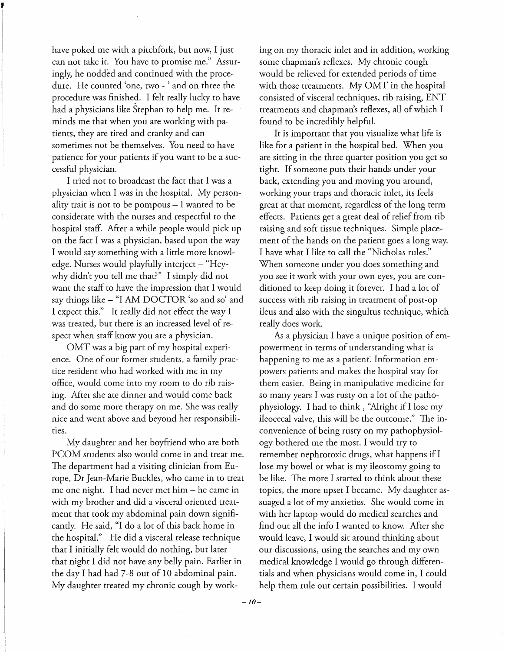have poked me with a pitchfork, but now, I just can not take it. You have to promise me." Assuringly, he nodded and continued with the procedure. He counted 'one, two - ' and on three the procedure was finished. I felt really lucky to. have had a physicians like Stephan to help me. It reminds me that when you are working with patients, they are tired and cranky and can sometimes not be themselves. You need to have patience for your patients if you want to be a successful physician.

I tried not to broadcast the fact that I was a physician when I was in the hospital. My personality trait is not to be pompous  $-1$  wanted to be considerate with the nurses and respectful to the hospital staff. After a while people would pick up on the fact I was a physician, based upon the way I would say something with a little more knowledge. Nurses would playfully interject - "Heywhy didn't you tell me that?" I simply did not want the staff to have the impression that I would say things like - "I AM DOCTOR *'so* and so' and I expect this." It really did not effect the way I was treated, but there is an increased level of respect when staff know you are a physician.

OMT was a big part of my hospital experience. One of our former students, a family practice resident who had worked with me in my office, would come into my room to do rib raising. After she ate dinner and would come back and do some more therapy on me. She was really nice and went above and beyond her responsibilities.

My daughter and her boyfriend who are both PCOM students also would come in and treat me. The department had a visiting clinician from Europe, Dr Jean-Marie Buckles, who came in to treat me one night. I had never met him – he came in with my brother and did a visceral oriented treatment that took my abdominal pain down significantly. He said, "I do a lot of this back home in the hospital." He did a visceral release technique that I initially felt would do nothing, but later that night I did not have any belly pain. Earlier in the day I had had 7-8 out of 10 abdominal pain. My daughter treated my chronic cough by working on my thoracic inlet and in addition, working some chapman's reflexes. My chronic cough would be relieved for extended periods of time with those treatments. My OMT in the hospital consisted of visceral techniques, rib raising, ENT treatments and chapman's reflexes, all of which I found to be incredibly helpful.

It is important that you visualize what life is like for a patient in the hospital bed. When you are sitting in the three quarter position you get so tight. If someone puts their hands under your back, extending you and moving you around, working your traps and thoracic inlet, its feels great at that moment, regardless of the long term effects. Patients get a great deal of relief from rib raising and soft tissue techniques. Simple placement of the hands on the patient goes a long way. I have what I like to call the "Nicholas rules." When someone under you does something and you see it work with your own eyes, you are conditioned to keep doing it forever. I had a lot of success with rib raising in treatment of post-op ileus and also with the singultus technique, which really does work.

As a physician I have a unique position of empowerment in terms of understanding what is happening to me as a patient. Information empowers patients and makes the hospital stay for them easier. Being in manipulative medicine for *so* many years I was rusty on a lot of the pathophysiology. I had to think , "Alright if I lose my ileocecal valve, this will be the outcome." The inconvenience of being rusty on my pathophysiology bothered me the most. I would try to remember nephrotoxic drugs, what happens if I lose my bowel or what is my ileostomy going to be like. The more I started to think about these topics, the more upset I became. My daughter assuaged a lot of my anxieties. She would come in with her laptop would do medical searches and find out ail the info I wanted to know. After she would leave, I would sit around thinking about our discussions, using the searches and my own medical knowledge I would go through differentials and when physicians would come in, I could help them rule out certain possibilities. I would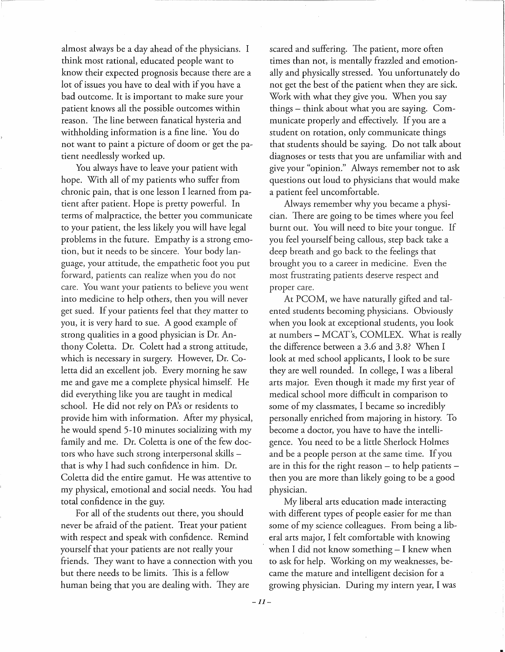almost always be a day ahead of the physicians. I think most rational, educated people want to know their expected prognosis because there are a lot of issues you have to deal with if you have a bad outcome. It is important to make sure your patient knows all the possible outcomes within reason. The line between fanatical hysteria and withholding information is a fine line. You do not want to paint a picture of doom or get the patient needlessly worked up.

You always have to leave your patient with hope. With all of my patients who suffer from chronic pain, that is one lesson I learned from pa~ tient after patient. Hope is pretty powerful. In terms of malpractice, the better you communicate to your patient, the less likely you will have legal problems in the future. Empathy is a strong emotion, but it needs to be sincere. Your body language, your attitude, the empathetic foot you put forward, patients can realize when you do not care. You want your patients to believe you went into medicine to help others, then you will never get sued. If your patients feel that they matter to you, it is very hard to sue. A good example of strong qualities in a good physician is Dr. Anthony Coletta. Dr. Colett had a strong attitude, which is necessary in surgery. However, Dr. Coletta did an excellent job. Every morning he saw me and gave me a complete physical himself. He did everything like you are taught in medical school. He did not rely on PA's or residents to provide him with information. After my physical, he would spend 5-10 minutes socializing with my family and me. Dr. Coletta is one of the few doctors who have such strong interpersonal skills that is why I had such confidence in him. Dr. Coletta did the entire gamut. He was attentive to my physical, emotional and social needs. You had total confidence in the guy.

For all of the students out there, you should never be afraid of the patient. Treat your patient with respect and speak with confidence. Remind yourself that your patients are not really your friends. They want to have a connection with you but there needs to be limits. This is a fellow human being that you are dealing with. They are

scared and suffering. The patient, more often times than not, is mentally frazzled and emotionally and physically stressed. You unfortunately do not get the best of the patient when they are sick. Work with what they give you. When you say things- think about what you are saying. Communicate properly and effectively. If you are a student on rotation, only communicate things that students should be saying. Do not talk about diagnoses or tests that you are unfamiliar with and give your "opinion." Always remember not to ask questions out loud to physicians that would make a patient feel uncomfortable.

Always remember why you became a physician. There are going to be times where you feel burnt out. You will need to bite your tongue. If you feel yourself being callous, step back take a deep breath and go back to the feelings that brought you to a career in medicine. Even the most frustrating patients deserve respect and proper care.

At PCOM, we have naturally gifted and talented students becoming physicians. Obviously when you look at exceptional students, you look at numbers- MCAT's, COMLEX. What is really the difference between a 3.6 and 3.8? When I look at med school applicants, I look to be sure they are well rounded. In college, I was a liberal arts major. Even though it made my first year of medical school more difficult in comparison to some of my classmates, I became so incredibly personally enriched from majoring in history. To become a doctor, you have to have the intelligence. You need to be a little Sherlock Holmes and be a people person at the same time. If you are in this for the right reason  $-$  to help patients  $$ then you are more than likely going to be a good physician.

My liberal arts education made interacting with different types of people easier for me than some of my science colleagues. From being a liberal arts major, I felt comfortable with knowing when I did not know something  $-$  I knew when to ask for help. Working on my weaknesses, became the mature and intelligent decision for a growing physician. During my intern year, I was